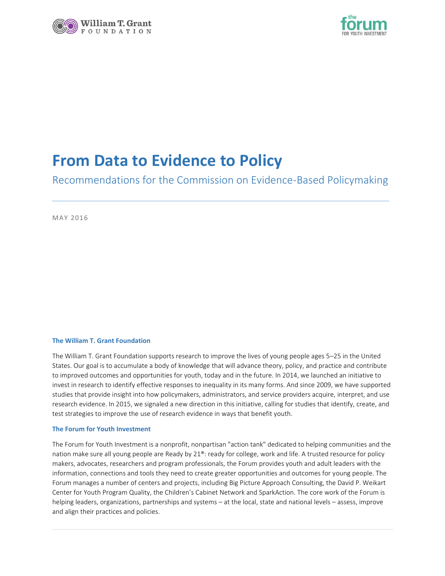



# **From Data to Evidence to Policy**

Recommendations for the Commission on Evidence-Based Policymaking

MAY 2016

#### **The William T. Grant Foundation**

The William T. Grant Foundation supports research to improve the lives of young people ages 5–25 in the United States. Our goal is to accumulate a body of knowledge that will advance theory, policy, and practice and contribute to improved outcomes and opportunities for youth, today and in the future. In 2014, we launched an initiative to invest in research to identify effective responses to inequality in its many forms. And since 2009, we have supported studies that provide insight into how policymakers, administrators, and service providers acquire, interpret, and use research evidence. In 2015, we signaled a new direction in this initiative, calling for studies that identify, create, and test strategies to improve the use of research evidence in ways that benefit youth.

#### **The Forum for Youth Investment**

The Forum for Youth Investment is a nonprofit, nonpartisan "action tank" dedicated to helping communities and the nation make sure all young people are Ready by 21®: ready for college, work and life. A trusted resource for policy makers, advocates, researchers and program professionals, the Forum provides youth and adult leaders with the information, connections and tools they need to create greater opportunities and outcomes for young people. The Forum manages a number of centers and projects, including Big Picture Approach Consulting, the David P. Weikart Center for Youth Program Quality, the Children's Cabinet Network and SparkAction. The core work of the Forum is helping leaders, organizations, partnerships and systems – at the local, state and national levels – assess, improve and align their practices and policies.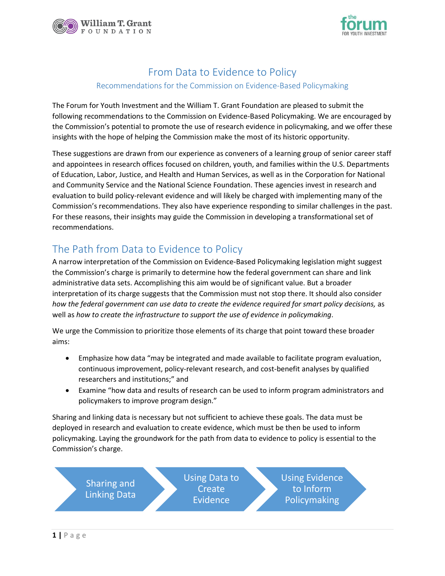



### From Data to Evidence to Policy

#### Recommendations for the Commission on Evidence-Based Policymaking

The Forum for Youth Investment and the William T. Grant Foundation are pleased to submit the following recommendations to the Commission on Evidence-Based Policymaking. We are encouraged by the Commission's potential to promote the use of research evidence in policymaking, and we offer these insights with the hope of helping the Commission make the most of its historic opportunity.

These suggestions are drawn from our experience as conveners of a learning group of senior career staff and appointees in research offices focused on children, youth, and families within the U.S. Departments of Education, Labor, Justice, and Health and Human Services, as well as in the Corporation for National and Community Service and the National Science Foundation. These agencies invest in research and evaluation to build policy-relevant evidence and will likely be charged with implementing many of the Commission's recommendations. They also have experience responding to similar challenges in the past. For these reasons, their insights may guide the Commission in developing a transformational set of recommendations.

## The Path from Data to Evidence to Policy

A narrow interpretation of the Commission on Evidence-Based Policymaking legislation might suggest the Commission's charge is primarily to determine how the federal government can share and link administrative data sets. Accomplishing this aim would be of significant value. But a broader interpretation of its charge suggests that the Commission must not stop there. It should also consider *how the federal government can use data to create the evidence required for smart policy decisions,* as well as *how to create the infrastructure to support the use of evidence in policymaking*.

We urge the Commission to prioritize those elements of its charge that point toward these broader aims:

- Emphasize how data "may be integrated and made available to facilitate program evaluation, continuous improvement, policy-relevant research, and cost-benefit analyses by qualified researchers and institutions;" and
- Examine "how data and results of research can be used to inform program administrators and policymakers to improve program design."

Sharing and linking data is necessary but not sufficient to achieve these goals. The data must be deployed in research and evaluation to create evidence, which must be then be used to inform policymaking. Laying the groundwork for the path from data to evidence to policy is essential to the Commission's charge.

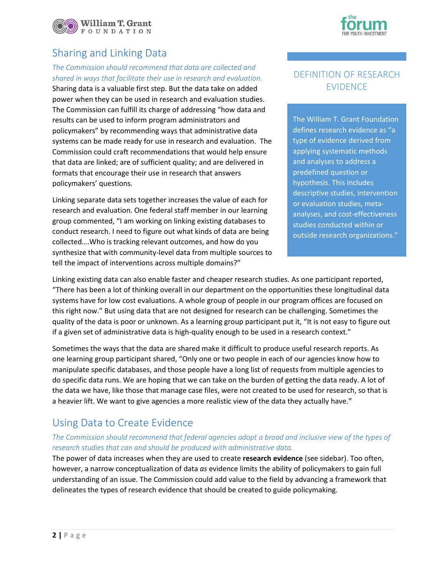

### Sharing and Linking Data

#### *The Commission should recommend that data are collected and shared in ways that facilitate their use in research and evaluation.*

Sharing data is a valuable first step. But the data take on added power when they can be used in research and evaluation studies. The Commission can fulfill its charge of addressing "how data and results can be used to inform program administrators and policymakers" by recommending ways that administrative data systems can be made ready for use in research and evaluation. The Commission could craft recommendations that would help ensure that data are linked; are of sufficient quality; and are delivered in formats that encourage their use in research that answers policymakers' questions.

Linking separate data sets together increases the value of each for research and evaluation. One federal staff member in our learning group commented, "I am working on linking existing databases to conduct research. I need to figure out what kinds of data are being collected….Who is tracking relevant outcomes, and how do you synthesize that with community-level data from multiple sources to tell the impact of interventions across multiple domains?"

### DEFINITION OF RESEARCH EVIDENCE

The William T. Grant Foundation defines research evidence as "a type of evidence derived from applying systematic methods and analyses to address a predefined question or hypothesis. This includes descriptive studies, intervention or evaluation studies, metaanalyses, and cost-effectiveness studies conducted within or outside research organizations."

Linking existing data can also enable faster and cheaper research studies. As one participant reported, "There has been a lot of thinking overall in our department on the opportunities these longitudinal data systems have for low cost evaluations. A whole group of people in our program offices are focused on this right now." But using data that are not designed for research can be challenging. Sometimes the quality of the data is poor or unknown. As a learning group participant put it, "It is not easy to figure out if a given set of administrative data is high-quality enough to be used in a research context."

Sometimes the ways that the data are shared make it difficult to produce useful research reports. As one learning group participant shared, "Only one or two people in each of our agencies know how to manipulate specific databases, and those people have a long list of requests from multiple agencies to do specific data runs. We are hoping that we can take on the burden of getting the data ready. A lot of the data we have, like those that manage case files, were not created to be used for research, so that is a heavier lift. We want to give agencies a more realistic view of the data they actually have."

### Using Data to Create Evidence

### *The Commission should recommend that federal agencies adopt a broad and inclusive view of the types of research studies that can and should be produced with administrative data.*

The power of data increases when they are used to create **research evidence** (see sidebar). Too often, however, a narrow conceptualization of data *as* evidence limits the ability of policymakers to gain full understanding of an issue. The Commission could add value to the field by advancing a framework that delineates the types of research evidence that should be created to guide policymaking.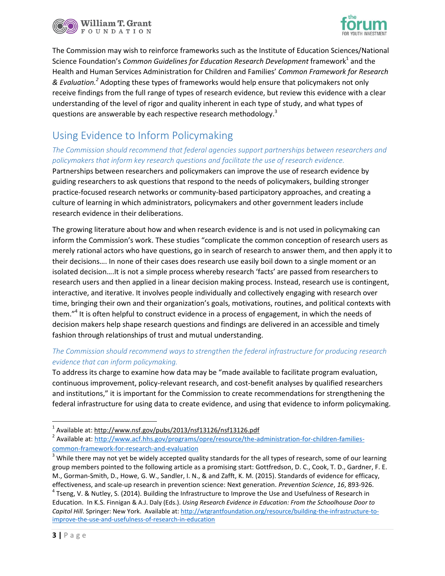



The Commission may wish to reinforce frameworks such as the Institute of Education Sciences/National Science Foundation's Common Guidelines for Education Research Development framework<sup>1</sup> and the Health and Human Services Administration for Children and Families' *Common Framework for Research & Evaluation.<sup>2</sup>* Adopting these types of frameworks would help ensure that policymakers not only receive findings from the full range of types of research evidence, but review this evidence with a clear understanding of the level of rigor and quality inherent in each type of study, and what types of questions are answerable by each respective research methodology.<sup>3</sup>

## Using Evidence to Inform Policymaking

### *The Commission should recommend that federal agencies support partnerships between researchers and policymakers that inform key research questions and facilitate the use of research evidence.*

Partnerships between researchers and policymakers can improve the use of research evidence by guiding researchers to ask questions that respond to the needs of policymakers, building stronger practice-focused research networks or community-based participatory approaches, and creating a culture of learning in which administrators, policymakers and other government leaders include research evidence in their deliberations.

The growing literature about how and when research evidence is and is not used in policymaking can inform the Commission's work. These studies "complicate the common conception of research users as merely rational actors who have questions, go in search of research to answer them, and then apply it to their decisions…. In none of their cases does research use easily boil down to a single moment or an isolated decision….It is not a simple process whereby research 'facts' are passed from researchers to research users and then applied in a linear decision making process. Instead, research use is contingent, interactive, and iterative. It involves people individually and collectively engaging with research over time, bringing their own and their organization's goals, motivations, routines, and political contexts with them."<sup>4</sup> It is often helpful to construct evidence in a process of engagement, in which the needs of decision makers help shape research questions and findings are delivered in an accessible and timely fashion through relationships of trust and mutual understanding.

### *The Commission should recommend ways to strengthen the federal infrastructure for producing research evidence that can inform policymaking.*

To address its charge to examine how data may be "made available to facilitate program evaluation, continuous improvement, policy-relevant research, and cost-benefit analyses by qualified researchers and institutions," it is important for the Commission to create recommendations for strengthening the federal infrastructure for using data to create evidence, and using that evidence to inform policymaking.

 $\overline{a}$ 

<sup>&</sup>lt;sup>1</sup> Available at:<http://www.nsf.gov/pubs/2013/nsf13126/nsf13126.pdf>

<sup>&</sup>lt;sup>2</sup> Available at: http://www.acf.hhs.gov/programs/opre/resource/the-administration-for-children-familiescommon-framework-for-research-and-evaluation

 $3$  While there may not yet be widely accepted quality standards for the all types of research, some of our learning group members pointed to the following article as a promising start: Gottfredson, D. C., Cook, T. D., Gardner, F. E. M., Gorman-Smith, D., Howe, G. W., Sandler, I. N., & and Zafft, K. M. (2015). Standards of evidence for efficacy, effectiveness, and scale-up research in prevention science: Next generation. *Prevention Science*, *16*, 893-926.  $^4$  Tseng, V. & Nutley, S. (2014). Building the Infrastructure to Improve the Use and Usefulness of Research in Education. In K.S. Finnigan & A.J. Daly (Eds.). *Using Research Evidence in Education: From the Schoolhouse Door to Capitol Hill*. Springer: New York. Available at: [http://wtgrantfoundation.org/resource/building-the-infrastructure-to](http://wtgrantfoundation.org/resource/building-the-infrastructure-to-improve-the-use-and-usefulness-of-research-in-education)[improve-the-use-and-usefulness-of-research-in-education](http://wtgrantfoundation.org/resource/building-the-infrastructure-to-improve-the-use-and-usefulness-of-research-in-education)